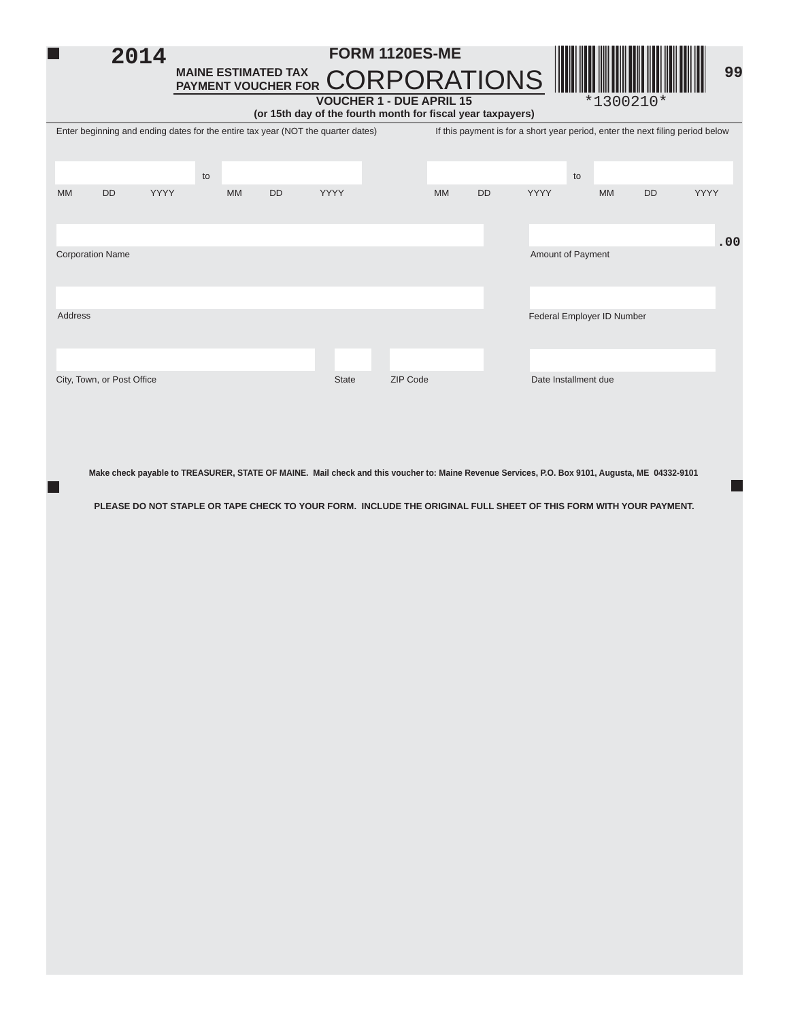## **MAINE ESTIMATED TAX PAYMENT VOUCHER FOR 99** \*1300210\* **FORM 1120ES-ME** ORPORATIONS **VOUCHER 1 - DUE APRIL 15 (or 15th day of the fourth month for fi scal year taxpayers)** Enter beginning and ending dates for the entire tax year (NOT the quarter dates) If this payment is for a short year period, enter the next filing period below **2014**

Ī

|                                     |           |      | to |           |           |      |          |           |           |                      | to                         |           |      |  |  |
|-------------------------------------|-----------|------|----|-----------|-----------|------|----------|-----------|-----------|----------------------|----------------------------|-----------|------|--|--|
| <b>MM</b>                           | <b>DD</b> | YYYY |    | <b>MM</b> | <b>DD</b> | YYYY |          | <b>MM</b> | <b>DD</b> | <b>YYYY</b>          | <b>MM</b>                  | <b>DD</b> | YYYY |  |  |
|                                     |           |      |    |           |           |      |          |           |           |                      |                            |           | .00  |  |  |
| <b>Corporation Name</b>             |           |      |    |           |           |      |          |           |           | Amount of Payment    |                            |           |      |  |  |
|                                     |           |      |    |           |           |      |          |           |           |                      |                            |           |      |  |  |
| Address                             |           |      |    |           |           |      |          |           |           |                      | Federal Employer ID Number |           |      |  |  |
|                                     |           |      |    |           |           |      |          |           |           |                      |                            |           |      |  |  |
| City, Town, or Post Office<br>State |           |      |    |           |           |      | ZIP Code |           |           | Date Installment due |                            |           |      |  |  |

**Make check payable to TREASURER, STATE OF MAINE. Mail check and this voucher to: Maine Revenue Services, P.O. Box 9101, Augusta, ME 04332-9101**

г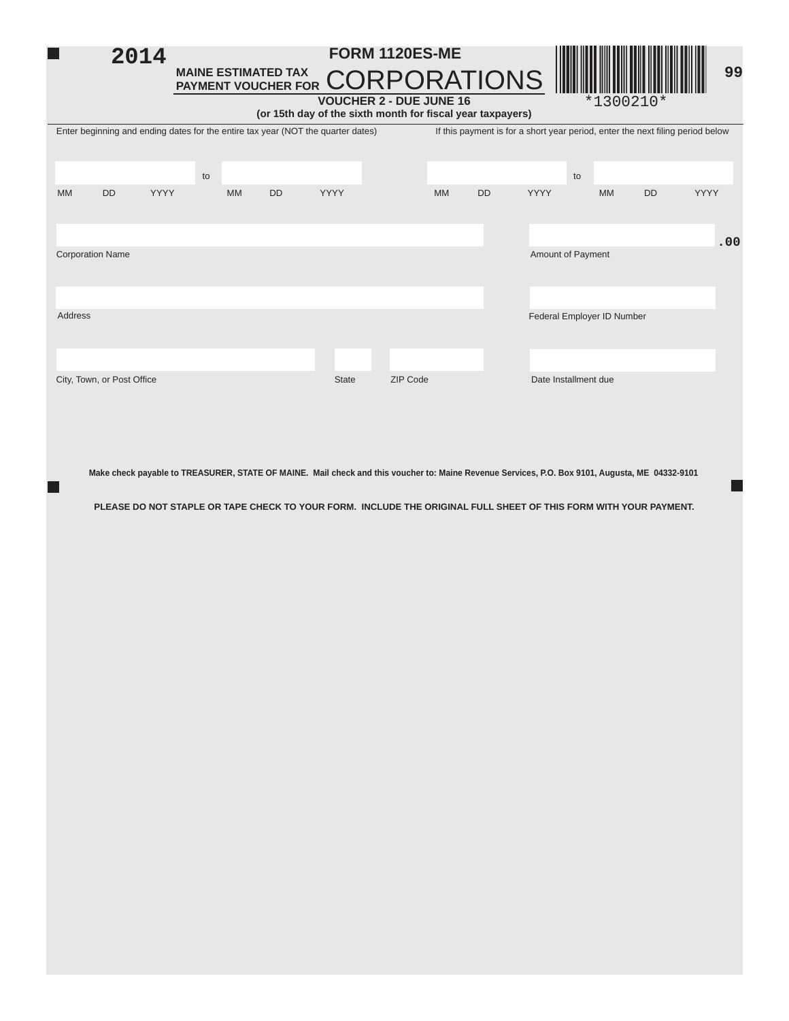

| Enter beginning and ending dates for the entire tax year (NOT the quarter dates)<br>If this payment is for a short year period, enter the next filing period below |                            |             |    |           |           |              |          |                   |           |             |                            |           |             |
|--------------------------------------------------------------------------------------------------------------------------------------------------------------------|----------------------------|-------------|----|-----------|-----------|--------------|----------|-------------------|-----------|-------------|----------------------------|-----------|-------------|
|                                                                                                                                                                    |                            |             |    |           |           |              |          |                   |           |             |                            |           |             |
|                                                                                                                                                                    |                            |             |    |           |           |              |          |                   |           |             |                            |           |             |
|                                                                                                                                                                    |                            |             | to |           |           |              |          |                   |           |             | to                         |           |             |
| <b>MM</b>                                                                                                                                                          | <b>DD</b>                  | <b>YYYY</b> |    | <b>MM</b> | <b>DD</b> | YYYY         |          | <b>MM</b>         | <b>DD</b> | <b>YYYY</b> | <b>MM</b>                  | <b>DD</b> | <b>YYYY</b> |
|                                                                                                                                                                    |                            |             |    |           |           |              |          |                   |           |             |                            |           |             |
|                                                                                                                                                                    |                            |             |    |           |           |              |          |                   |           |             |                            |           |             |
|                                                                                                                                                                    |                            |             |    |           |           |              |          |                   |           |             |                            |           | .00         |
|                                                                                                                                                                    | <b>Corporation Name</b>    |             |    |           |           |              |          | Amount of Payment |           |             |                            |           |             |
|                                                                                                                                                                    |                            |             |    |           |           |              |          |                   |           |             |                            |           |             |
|                                                                                                                                                                    |                            |             |    |           |           |              |          |                   |           |             |                            |           |             |
|                                                                                                                                                                    |                            |             |    |           |           |              |          |                   |           |             |                            |           |             |
| Address                                                                                                                                                            |                            |             |    |           |           |              |          |                   |           |             | Federal Employer ID Number |           |             |
|                                                                                                                                                                    |                            |             |    |           |           |              |          |                   |           |             |                            |           |             |
|                                                                                                                                                                    |                            |             |    |           |           |              |          |                   |           |             |                            |           |             |
|                                                                                                                                                                    |                            |             |    |           |           | <b>State</b> | ZIP Code |                   |           |             | Date Installment due       |           |             |
|                                                                                                                                                                    | City, Town, or Post Office |             |    |           |           |              |          |                   |           |             |                            |           |             |

**Make check payable to TREASURER, STATE OF MAINE. Mail check and this voucher to: Maine Revenue Services, P.O. Box 9101, Augusta, ME 04332-9101**

п.

 $\Box$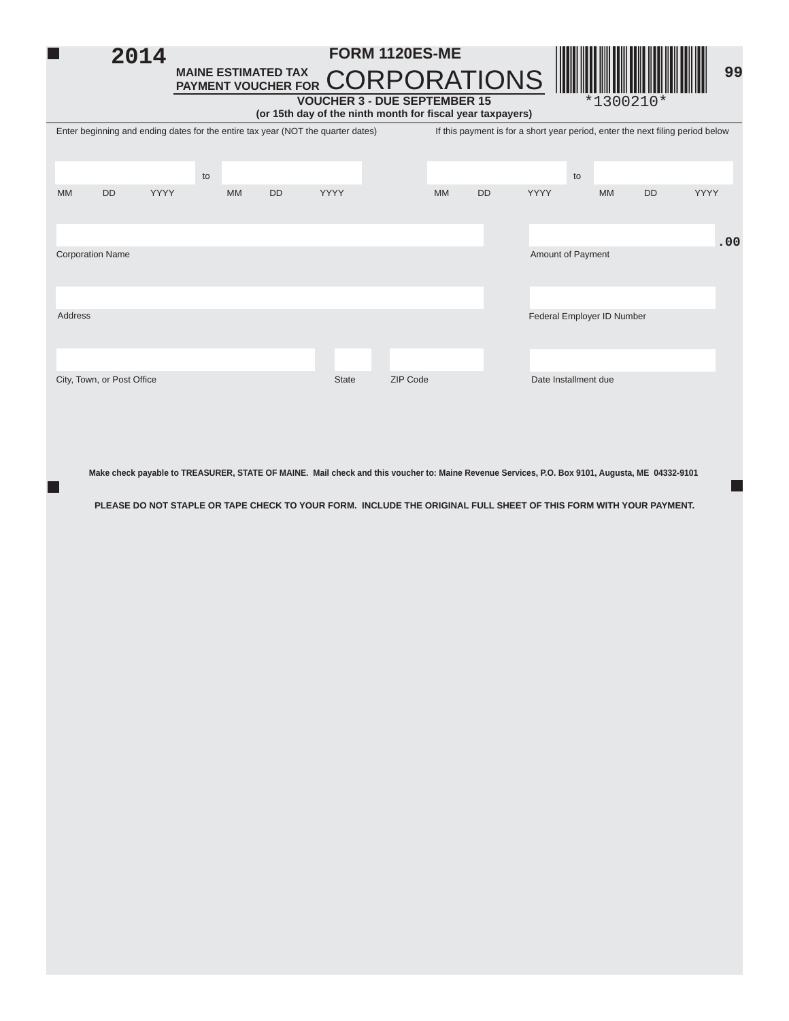| 2014                                                                                                             | <b>MAINE ESTIMATED TAX</b><br>MAINE ESTIMATED TAX CORPORATIONS                   | <b>FORM 1120ES-ME</b> | <b>Alta Maria Alta Alta Alta Alta Alta</b> |                                                                                |  |  |  |  |  |  |  |
|------------------------------------------------------------------------------------------------------------------|----------------------------------------------------------------------------------|-----------------------|--------------------------------------------|--------------------------------------------------------------------------------|--|--|--|--|--|--|--|
| <b>VOUCHER 3 - DUE SEPTEMBER 15</b><br>$*1300210*$<br>(or 15th day of the ninth month for fiscal year taxpayers) |                                                                                  |                       |                                            |                                                                                |  |  |  |  |  |  |  |
|                                                                                                                  | Enter beginning and ending dates for the entire tax year (NOT the quarter dates) |                       |                                            | If this payment is for a short year period, enter the next filing period below |  |  |  |  |  |  |  |

|         | $\sim$<br>$\sim$           | $\tilde{\phantom{a}}$ |    |    | $\sim$ $\sim$ |       | $\sim$ $\sim$ | . .      |           | $\sim$ $\sim$ | $\sim$ $\sim$ $\sim$ $\sim$ | $\sim$ $\cdot$         |             |     |
|---------|----------------------------|-----------------------|----|----|---------------|-------|---------------|----------|-----------|---------------|-----------------------------|------------------------|-------------|-----|
|         |                            |                       | to |    |               |       |               |          |           |               | to                          |                        |             |     |
| MM      | <b>DD</b>                  | YYYY                  |    | MM | <b>DD</b>     | YYYY  |               | MM       | <b>DD</b> | YYYY          |                             | <b>MM</b><br><b>DD</b> | <b>YYYY</b> |     |
|         |                            |                       |    |    |               |       |               |          |           |               |                             |                        |             |     |
|         | <b>Corporation Name</b>    |                       |    |    |               |       |               |          |           |               | Amount of Payment           |                        |             | .00 |
|         |                            |                       |    |    |               |       |               |          |           |               |                             |                        |             |     |
|         |                            |                       |    |    |               |       |               |          |           |               |                             |                        |             |     |
| Address |                            |                       |    |    |               |       |               |          |           |               | Federal Employer ID Number  |                        |             |     |
|         |                            |                       |    |    |               |       |               |          |           |               |                             |                        |             |     |
|         |                            |                       |    |    |               |       |               |          |           |               |                             |                        |             |     |
|         | City, Town, or Post Office |                       |    |    |               | State |               | ZIP Code |           |               | Date Installment due        |                        |             |     |

**Make check payable to TREASURER, STATE OF MAINE. Mail check and this voucher to: Maine Revenue Services, P.O. Box 9101, Augusta, ME 04332-9101**

н

٦